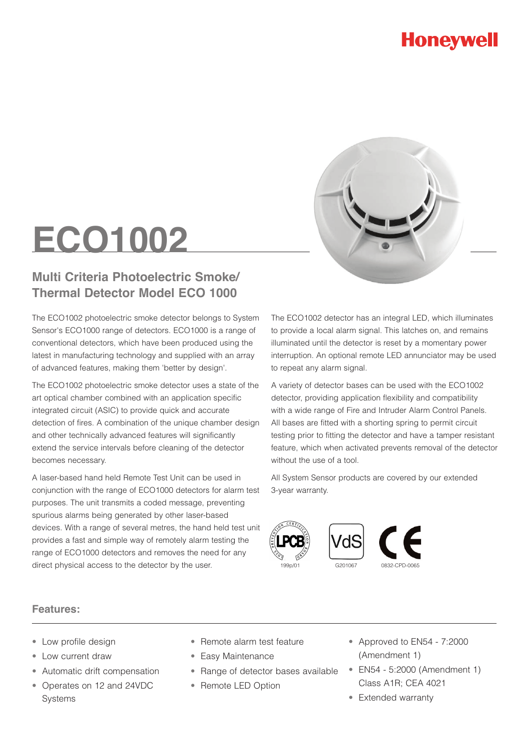### **Honeywell**



# **ECO1002**

#### **Multi Criteria Photoelectric Smoke/ Thermal Detector Model ECO 1000**

The ECO1002 photoelectric smoke detector belongs to System Sensor's ECO1000 range of detectors. ECO1000 is a range of conventional detectors, which have been produced using the latest in manufacturing technology and supplied with an array of advanced features, making them 'better by design'.

The ECO1002 photoelectric smoke detector uses a state of the art optical chamber combined with an application specific integrated circuit (ASIC) to provide quick and accurate detection of fires. A combination of the unique chamber design and other technically advanced features will significantly extend the service intervals before cleaning of the detector becomes necessary.

A laser-based hand held Remote Test Unit can be used in conjunction with the range of ECO1000 detectors for alarm test purposes. The unit transmits a coded message, preventing spurious alarms being generated by other laser-based devices. With a range of several metres, the hand held test unit provides a fast and simple way of remotely alarm testing the range of ECO1000 detectors and removes the need for any direct physical access to the detector by the user.

The ECO1002 detector has an integral LED, which illuminates to provide a local alarm signal. This latches on, and remains illuminated until the detector is reset by a momentary power interruption. An optional remote LED annunciator may be used to repeat any alarm signal.

A variety of detector bases can be used with the ECO1002 detector, providing application flexibility and compatibility with a wide range of Fire and Intruder Alarm Control Panels. All bases are fitted with a shorting spring to permit circuit testing prior to fitting the detector and have a tamper resistant feature, which when activated prevents removal of the detector without the use of a tool.

All System Sensor products are covered by our extended 3-year warranty.







#### **Features:**

- Low profile design
- Low current draw
- Automatic drift compensation
- Operates on 12 and 24VDC Systems
- Remote alarm test feature
- Easy Maintenance
- Range of detector bases available
- Remote LED Option
- Approved to EN54 7:2000 (Amendment 1)
- EN54 5:2000 (Amendment 1) Class A1R; CEA 4021
- Extended warranty